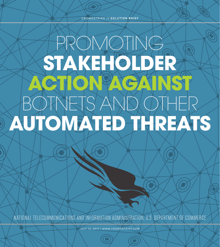CROWDSTRIKE // **SOLUTION BRIEF**

## PROMOTING **STAKEHOLDER ACTION PAGAINST** BOTNETS AND OTHER **AUTOMATED THREATS**

NATIONAL TELECOMMUNICATIONS AND INFORMATION ADMINISTRATION, U.S. DEPARTMENT OF COMMERCE

JULY 13, 2017 | WWW.CROWDSTRIKE.COM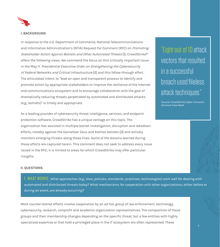

#### **I. BACKGROUND**

In response to the U.S. Department of Commerce, National Telecommunications and Information Administration's (NTIA) Request For Comment (RFC) on *Promoting* Stakeholder Action Against Botnets and Other Automated Threats [1], CrowdStrike® offers the following views. We commend the focus on this critically important issue in the May 11 Presidential Executive Order on Strengthening the Cybersecurity of Federal Networks and Critical Infrastructure [2] and this follow-through effort. The articulated intent, to "lead an open and transparent process to identify and promote action by appropriate stakeholders to improve the resilience of the Internet and communications ecosystem and to encourage collaboration with the goal of dramatically reducing threats perpetrated by automated and distributed attacks (e.g., botnets)" is timely and appropriate.

As a leading provider of cybersecurity threat intelligence, services, and endpoint protection software, CrowdStrike has a unique vantage on this topic. The organization has assisted in multiple botnet investigation, disruption and takedown efforts, notably against the GameOver Zeus and Kelihos botnets [3] and actively monitors emerging threats along these lines. Some of the lessons learned during those efforts are captured herein. This comment does not seek to address every issue raised in the RFC; it is limited to areas for which CrowdStrike may offer particular insights.

### "Eight out of 10 attack vectors that resulted in a successful breach used fileless attack techniques."

Source: CrowdStrike Cyber Intrusion Services Case Book

#### **II. QUESTIONS**

1. WHAT WORKS: What approaches (e.g., laws, policies, standards, practices, technologies) work well for dealing with automated and distributed threats today? What mechanisms for cooperation with other organizations, either before or during an event, are already occurring?

Most counter-botnet efforts involve cooperation by an ad hoc group of law enforcement, technology, cybersecurity, research, nonprofit and academic organization representatives. The composition of these groups and their membership changes depending on the specific threat, but a few entities with highly specialized expertise or that hold a privileged place in the IT ecosystem are often represented. These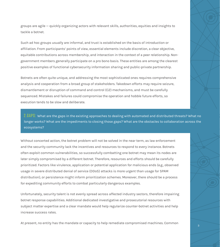groups are agile — quickly organizing actors with relevant skills, authorities, equities and insights to tackle a botnet.

Such ad hoc groups usually are informal, and trust is established on the basis of introduction or affiliation. From participants' points of view, essential elements include discretion, a clear objective, equitable contributions across membership, and interaction in the context of a peer relationship. Nongovernment members generally participate on a pro bono basis. These entities are among the clearest positive examples of functional cybersecurity information sharing and public-private partnership.

Botnets are often quite unique, and addressing the most sophisticated ones requires comprehensive analysis and cooperation from a broad group of stakeholders. Takedown efforts may require seizure, dismantlement or disruption of command and control (C2) mechanisms, and must be carefully sequenced. Mistakes and failures could compromise the operation and hobble future efforts, so execution tends to be slow and deliberate.

 $2.64$ PS: What are the gaps in the existing approaches to dealing with automated and distributed threats? What no longer works? What are the impediments to closing those gaps? What are the obstacles to collaboration across the ecosystems?

Without concerted action, the botnet problem will not be solved in the near term, as law enforcement and the security community lack the incentives and resources to respond to every instance. Botnets often exploit common vulnerabilities, so successfully combatting one botnet may mean its nodes are later simply compromised by a different botnet. Therefore, resources and efforts should be carefully prioritized. Factors like virulence, application or potential application for malicious ends (e.g., observed usage in severe distributed denial of service (DDoS) attacks is more urgent than usage for SPAM distribution), or persistence might inform prioritization schemes. Moreover, there should be a process for expediting community efforts to combat particularly dangerous examples.

Unfortunately, security talent is not evenly spread across affected industry sectors, therefore impairing botnet response capabilities. Additional dedicated investigative and prosecutorial resources with subject matter expertise and a clear mandate would help regularize counter-botnet activities and help increase success rates.

At present, no entity has the mandate or capacity to help remediate compromised machines. Common  $\overline{\phantom{a}^3}$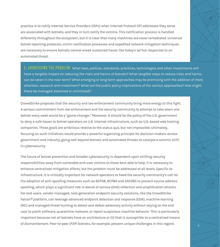practice is to notify Internet Service Providers (ISPs) when Internet Protocol (IP) addresses they serve are associated with botnets, and they in turn notify the victims. This notification process is handled differently throughout the ecosystem, but it is clear that many machines are never remediated. Universal botnet reporting protocols, victim notification processes and expedited network mitigation techniques are necessary to ensure botnets cannot wreak sustained havoc like today's ad hoc responses to an automated threat.

3. ADDRESSING THE PROBLEM: What laws, policies, standards, practices, technologies and other investments will have a tangible impact on reducing the risks and harms of botnets? What tangible steps to reduce risks and harms can be taken in the near term? What emerging or long-term approaches may be promising with the addition of more attention, research and investment? What are the public policy implications of the various approaches? How might these be managed, balanced or minimized?

CrowdStrike proposes that the security and law enforcement community bring more energy to this fight. A serious commitment from law enforcement and the security community to attempt to take down one botnet every week would be a "game-changer." Moreover, it should be the policy of the U.S. government to deny a safe haven to botnet operators on U.S. internet infrastructure, such as U.S.-based web hosting companies. These goals are ambitious relative to the status quo, but not impossible. Ultimately, focusing on such initiatives would provide a powerful organizing principle for decision-makers across government and industry, going well beyond botnets and automated threats to catalyze a seismic shift in cybersecurity.

The future of botnet prevention and broader cybersecurity is dependent upon shifting security responsibilities away from vulnerable end-user victims to those best able to help. It is necessary to enhance centralized mitigation efforts, but the problem must be addressed at all levels. Specific to infrastructure, it is critically important for network operators to heed the security community's call for the adoption of anti-spoofing measures such as BCP38, BCP84 and SAC065 to prevent source address spoofing, which plays a significant role in denial of service (DoS) reflection and amplification attacks. For end users, vendor-managed, next-generation endpoint security solutions, like the CrowdStrike Falcon® platform, can leverage advanced endpoint detection and response (EDR), machine learning (ML) and managed threat hunting to detect and defeat adversary activity without relying on the end user to patch software, quarantine malware, or report suspicious machine behavior. This is particularly important because not all botnets have an architecture or C2 that is susceptible to a centralized means of dismantlement. Peer-to-peer (P2P) botnets, for example, present unique challenges in this regard.  $44\overline{4}$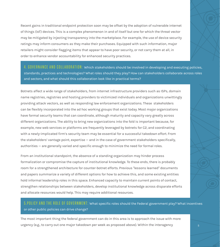Recent gains in traditional endpoint protection soon may be offset by the adoption of vulnerable internet of things (IoT) devices. This is a complex phenomenon in and of itself but one for which the threat vector may be mitigated by injecting transparency into the marketplace. For example, the use of device security ratings may inform consumers as they make their purchases. Equipped with such information, major retailers might consider flagging items that appear to have poor security, or not carry them at all, in order to enhance vendor accountability for enhanced security practices.

4. GOVERNANCE AND COLLABORATION: Which stakeholders should be involved in developing and executing policies, standards, practices and technologies? What roles should they play? How can stakeholders collaborate across roles and sectors, and what should this collaboration look like in practical terms?

Botnets affect a wide range of stakeholders, from internet infrastructure providers such as ISPs, domain name registries, registries and hosting providers to victimized individuals and organizations unwittingly providing attack vectors, as well as responding law enforcement organizations. These stakeholders can be flexibly incorporated into the ad hoc working groups that exist today. Most major organizations have formal security teams that can coordinate, although maturity and capacity vary greatly across different organizations. The ability to bring new organizations into the fold is important because, for example, new web services or platforms are frequently leveraged by botnets for C2, and coordinating with a newly-implicated firm's security team may be essential for a successful takedown effort. From the stakeholders' vantage point, expertise — and in the case of government stakeholders specifically, authorities — are generally varied and specific enough to minimize the need for formal roles.

From an institutional standpoint, the absence of a standing organization may hinder process formalization or compromise the capture of institutional knowledge. To these ends, there is probably room for a strengthened architecture for counter-botnet efforts. Previous "lessons learned" documents and papers summarize a variety of different options for how to achieve this, and some existing entities hold informal leadership roles in this space. Enhanced capacity to maintain current points of contact, strengthen relationships between stakeholders, develop institutional knowledge across disparate efforts and allocate resources would help. This may require additional resources.

#### 5.POLICY AND THE ROLE OF GOVERNMENT: What specific roles should the Federal government play? What incentives or other public policies can drive change?

The most important thing the federal government can do in this area is to approach the issue with more urgency (e.g., to carry out one major takedown per week as proposed above). Within the interagency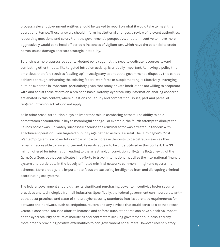process, relevant government entities should be tasked to report on what it would take to meet this operational tempo. Those answers should inform institutional changes, a review of relevant authorities, resourcing questions and so on. From the government's perspective, another incentive to move more aggressively would be to head off periodic instances of vigilantism, which have the potential to erode norms, cause damage or create strategic instability.

Balancing a more aggressive counter-botnet policy against the need to dedicate resources toward combating other threats, like targeted intrusion activity, is critically important. Achieving a policy this ambitious therefore requires "scaling up" investigatory talent at the government's disposal. This can be achieved through enhancing the existing federal workforce or supplementing it. Effectively leveraging outside expertise is important, particularly given that many private institutions are willing to cooperate with and assist these efforts on a pro bono basis. Notably, cybersecurity information-sharing concerns are abated in this context, where questions of liability and competition issues, part and parcel of targeted intrusion activity, do not apply.

As in other areas, attribution plays an important role in combating botnets. The ability to hold perpetrators accountable is key to meaningful change. For example, the fourth attempt to disrupt the Kelihos botnet was ultimately successful because the criminal actor was arrested in tandem with a technical operation. Even targeted publicity against bad actors is useful. The FBI's "Cyber's Most Wanted" program is a powerful example of how to increase the costs to perpetrators even as they remain inaccessible to law enforcement. Rewards appear to be underutilized in this context. The \$3 million offered for information leading to the arrest and/or conviction of Evgeniy Bogachev [4] of the GameOver Zeus botnet complicates his efforts to travel internationally, utilize the international financial system and participate in the loosely affiliated criminal networks common in high-end cybercrime schemes. More broadly, it is important to focus on extracting intelligence from and disrupting criminal coordinating ecosystems.

The federal government should utilize its significant purchasing power to incentivize better security practices and technologies from all industries. Specifically, the federal government can incorporate antibotnet best practices and state-of-the-art cybersecurity standards into its purchase requirements for software and hardware, such as endpoints, routers and any devices that could serve as a botnet attack vector. A concerted, focused effort to increase and enforce such standards can have a positive impact on the cybersecurity posture of industries and contractors seeking government business, thereby more broadly providing positive externalities to non-government consumers. However, recent history, **600 me** 60<br>6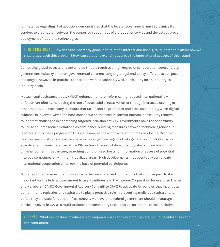for instance regarding IPv6 adoption, demonstrates that the federal government must scrutinize its vendors to distinguish between the purported capabilities of a product or service and the actual, proven deployment of requisite technologies.

6. INTERNATIONAL: How does the inherently global nature of the internet and the digital supply chain affect how we should approach this problem? How can solutions explicitly address the international aspects of this issue?

Combating global botnets and automated threats requires a high degree of collaboration across foreign government, industry and non-governmental partners. Language, legal and policy differences can pose challenges, however, in practice, cooperation works reasonably well, particularly on an industry-toindustry basis.

Mutual legal assistance treaty (MLAT) enhancements, or reforms, might speed international law enforcement efforts, increasing the rate of successful arrests. Whether through increased staffing or other means, it is necessary to ensure that MLATs can be prioritized and processed rapidly when digital evidence is involved. Given the near-consensus on the need to combat botnets, particularly relative to inherent challenges in addressing targeted intrusion activity, governments have the opportunity to utilize counter-botnet initiatives as confidence-building measures between technical agencies. It is important to make progress on this issue now, as the window for action may be closing. Over the past few years, nation-state actors have increasingly leveraged botnets generally and DDoS attacks specifically. In some instances, CrowdStrike has observed state actors piggybacking on traditional criminal botnet infrastructure, searching compromised hosts for information or access of potential interest, sometimes only in highly localized areas. Such developments may eventually complicate international cooperation or narrow the base of potential participants.

Globally, domain names often play a role in the command and control of botnets. Consequently, it is important for the federal government to use its influence in the Internet Corporation for Assigned Names and Numbers (ICANN) Governmental Advisory Committee (GAC) to advocate for policies that incentivize domain name registries and registrars to play a proactive role in preventing malicious registrations before they are used for botnet infrastructure. Moreover, the federal government should encourage all parties involved in ICANN's multi-stakeholder community to collaborate on an anti-botnet initiative.

 $7. \ \textcolor{red}{\mathsf{USERS:}}$  What can be done to educate and empower users and decision-makers, including enterprises and end consumers?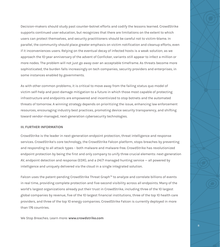Decision-makers should study past counter-botnet efforts and codify the lessons learned. CrowdStrike supports continued user education, but recognizes that there are limitations on the extent to which users can protect themselves, and security practitioners should be careful not to victim-blame. In parallel, the community should place greater emphasis on victim notification and cleanup efforts, even if it inconveniences users. Relying on the eventual decay of infected hosts is a weak solution; as we approach the 10-year anniversary of the advent of Conficker, variants still appear to infect a million or more nodes. The problem will not just go away over an acceptable timeframe. As threats become more sophisticated, the burden falls increasingly on tech companies, security providers and enterprises, in some instances enabled by governments.

As with other common problems, it is critical to move away from the failing status quo model of victim self-help and post-damage mitigation to a future in which those most capable of protecting infrastructure and endpoints are empowered and incentivized to stop botnets and the automated threats of tomorrow. A winning strategy depends on prioritizing the issue, enhancing law enforcement resources, encouraging industry best practices, promoting device security transparency, and shifting toward vendor-managed, next-generation cybersecurity technologies.

#### **III. FURTHER INFORMATION**

CrowdStrike is the leader in next-generation endpoint protection, threat intelligence and response services. CrowdStrike's core technology, the CrowdStrike Falcon platform, stops breaches by preventing and responding to all attack types – both malware and malware-free. CrowdStrike has revolutionized endpoint protection by being the first and only company to unify three crucial elements: next-generation AV, endpoint detection and response (EDR), and a 24/7 managed hunting service — all powered by intelligence and uniquely delivered via the cloud in a single integrated solution.

Falcon uses the patent-pending CrowdStrike Threat Graph™ to analyze and correlate billions of events in real time, providing complete protection and five-second visibility across all endpoints. Many of the world's largest organizations already put their trust in CrowdStrike, including three of the 10 largest global companies by revenue, five of the 10 largest financial institutions, three of the top 10 health care providers, and three of the top 10 energy companies. CrowdStrike Falcon is currently deployed in more than 176 countries.

We Stop Breaches. Learn more: **www.crowdstrike.com**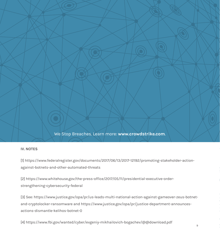We Stop Breaches. Learn more: **www.crowdstrike.com**.

#### **IV. NOTES**

[1] https://www.federalregister.gov/documents/2017/06/13/2017-12192/promoting-stakeholder-actionagainst-botnets-and-other-automated-threats

[2] https://www.whitehouse.gov/the-press-office/2017/05/11/presidential-executive-orderstrengthening-cybersecurity-federal

[3] See: https://www.justice.gov/opa/pr/us-leads-multi-national-action-against-gameover-zeus-botnetand-cryptolocker-ransomware and https://www.justice.gov/opa/pr/justice-department-announcesactions-dismantle-kelihos-botnet-0

[4] https://www.fbi.gov/wanted/cyber/evgeniy-mikhailovich-bogachev/@@download.pdf